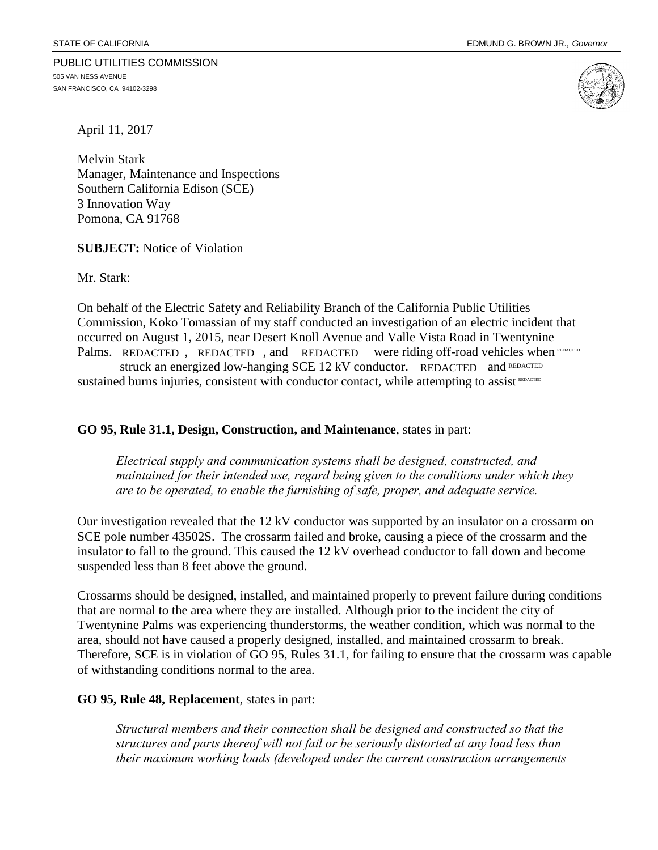PUBLIC UTILITIES COMMISSION 505 VAN NESS AVENUE SAN FRANCISCO, CA 94102-3298



April 11, 2017

Melvin Stark Manager, Maintenance and Inspections Southern California Edison (SCE) 3 Innovation Way Pomona, CA 91768

**SUBJECT:** Notice of Violation

Mr. Stark:

On behalf of the Electric Safety and Reliability Branch of the California Public Utilities Commission, Koko Tomassian of my staff conducted an investigation of an electric incident that occurred on August 1, 2015, near Desert Knoll Avenue and Valle Vista Road in Twentynine Palms. REDACTED, REDACTED, and REDACTED were riding off-road vehicles when Were riding off-road vehicles when REDACTED

struck an energized low-hanging SCE 12 kV conductor. REDACTED and REDACTED sustained burns injuries, consistent with conductor contact, while attempting to assist REDACTED

### **GO 95, Rule 31.1, Design, Construction, and Maintenance**, states in part:

*Electrical supply and communication systems shall be designed, constructed, and maintained for their intended use, regard being given to the conditions under which they are to be operated, to enable the furnishing of safe, proper, and adequate service.*

Our investigation revealed that the 12 kV conductor was supported by an insulator on a crossarm on SCE pole number 43502S. The crossarm failed and broke, causing a piece of the crossarm and the insulator to fall to the ground. This caused the 12 kV overhead conductor to fall down and become suspended less than 8 feet above the ground.

Crossarms should be designed, installed, and maintained properly to prevent failure during conditions that are normal to the area where they are installed. Although prior to the incident the city of Twentynine Palms was experiencing thunderstorms, the weather condition, which was normal to the area, should not have caused a properly designed, installed, and maintained crossarm to break. Therefore, SCE is in violation of GO 95, Rules 31.1, for failing to ensure that the crossarm was capable of withstanding conditions normal to the area.

#### **GO 95, Rule 48, Replacement**, states in part:

*Structural members and their connection shall be designed and constructed so that the structures and parts thereof will not fail or be seriously distorted at any load less than their maximum working loads (developed under the current construction arrangements*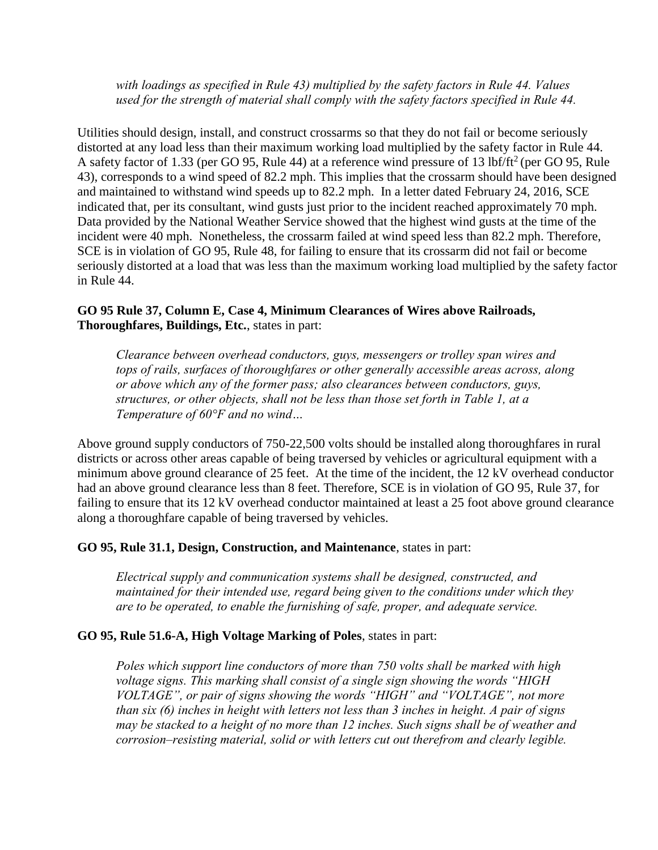*with loadings as specified in Rule 43) multiplied by the safety factors in Rule 44. Values used for the strength of material shall comply with the safety factors specified in Rule 44.*

Utilities should design, install, and construct crossarms so that they do not fail or become seriously distorted at any load less than their maximum working load multiplied by the safety factor in Rule 44. A safety factor of 1.33 (per GO 95, Rule 44) at a reference wind pressure of 13 lbf/ft<sup>2</sup> (per GO 95, Rule 43), corresponds to a wind speed of 82.2 mph. This implies that the crossarm should have been designed and maintained to withstand wind speeds up to 82.2 mph. In a letter dated February 24, 2016, SCE indicated that, per its consultant, wind gusts just prior to the incident reached approximately 70 mph. Data provided by the National Weather Service showed that the highest wind gusts at the time of the incident were 40 mph. Nonetheless, the crossarm failed at wind speed less than 82.2 mph. Therefore, SCE is in violation of GO 95, Rule 48, for failing to ensure that its crossarm did not fail or become seriously distorted at a load that was less than the maximum working load multiplied by the safety factor in Rule 44.

# **GO 95 Rule 37, Column E, Case 4, Minimum Clearances of Wires above Railroads, Thoroughfares, Buildings, Etc.**, states in part:

*Clearance between overhead conductors, guys, messengers or trolley span wires and tops of rails, surfaces of thoroughfares or other generally accessible areas across, along or above which any of the former pass; also clearances between conductors, guys, structures, or other objects, shall not be less than those set forth in Table 1, at a Temperature of 60°F and no wind…*

Above ground supply conductors of 750-22,500 volts should be installed along thoroughfares in rural districts or across other areas capable of being traversed by vehicles or agricultural equipment with a minimum above ground clearance of 25 feet. At the time of the incident, the 12 kV overhead conductor had an above ground clearance less than 8 feet. Therefore, SCE is in violation of GO 95, Rule 37, for failing to ensure that its 12 kV overhead conductor maintained at least a 25 foot above ground clearance along a thoroughfare capable of being traversed by vehicles.

## **GO 95, Rule 31.1, Design, Construction, and Maintenance**, states in part:

*Electrical supply and communication systems shall be designed, constructed, and maintained for their intended use, regard being given to the conditions under which they are to be operated, to enable the furnishing of safe, proper, and adequate service.*

## **GO 95, Rule 51.6-A, High Voltage Marking of Poles**, states in part:

*Poles which support line conductors of more than 750 volts shall be marked with high voltage signs. This marking shall consist of a single sign showing the words "HIGH VOLTAGE", or pair of signs showing the words "HIGH" and "VOLTAGE", not more than six (6) inches in height with letters not less than 3 inches in height. A pair of signs may be stacked to a height of no more than 12 inches. Such signs shall be of weather and corrosion–resisting material, solid or with letters cut out therefrom and clearly legible.*